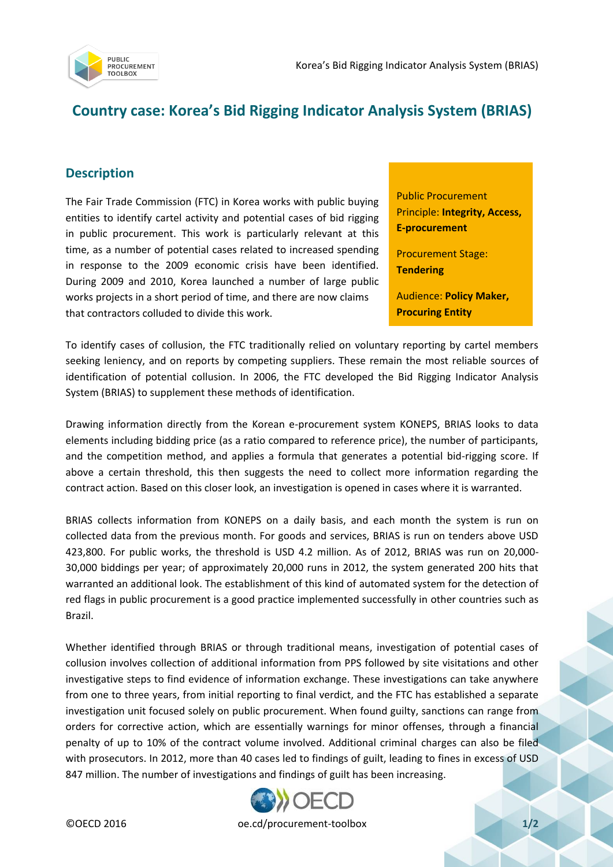

## **Country case: Korea's Bid Rigging Indicator Analysis System (BRIAS)**

## **Description**

The Fair Trade Commission (FTC) in Korea works with public buying entities to identify cartel activity and potential cases of bid rigging in public procurement. This work is particularly relevant at this time, as a number of potential cases related to increased spending in response to the 2009 economic crisis have been identified. During 2009 and 2010, Korea launched a number of large public works projects in a short period of time, and there are now claims that contractors colluded to divide this work.

Public Procurement Principle: **Integrity, Access, E-procurement**

Procurement Stage: **Tendering**

Audience: **Policy Maker, Procuring Entity**

To identify cases of collusion, the FTC traditionally relied on voluntary reporting by cartel members seeking leniency, and on reports by competing suppliers. These remain the most reliable sources of identification of potential collusion. In 2006, the FTC developed the Bid Rigging Indicator Analysis System (BRIAS) to supplement these methods of identification.

Drawing information directly from the Korean e-procurement system KONEPS, BRIAS looks to data elements including bidding price (as a ratio compared to reference price), the number of participants, and the competition method, and applies a formula that generates a potential bid-rigging score. If above a certain threshold, this then suggests the need to collect more information regarding the contract action. Based on this closer look, an investigation is opened in cases where it is warranted.

BRIAS collects information from KONEPS on a daily basis, and each month the system is run on collected data from the previous month. For goods and services, BRIAS is run on tenders above USD 423,800. For public works, the threshold is USD 4.2 million. As of 2012, BRIAS was run on 20,000- 30,000 biddings per year; of approximately 20,000 runs in 2012, the system generated 200 hits that warranted an additional look. The establishment of this kind of automated system for the detection of red flags in public procurement is a good practice implemented successfully in other countries such as Brazil.

Whether identified through BRIAS or through traditional means, investigation of potential cases of collusion involves collection of additional information from PPS followed by site visitations and other investigative steps to find evidence of information exchange. These investigations can take anywhere from one to three years, from initial reporting to final verdict, and the FTC has established a separate investigation unit focused solely on public procurement. When found guilty, sanctions can range from orders for corrective action, which are essentially warnings for minor offenses, through a financial penalty of up to 10% of the contract volume involved. Additional criminal charges can also be filed with prosecutors. In 2012, more than 40 cases led to findings of guilt, leading to fines in excess of USD 847 million. The number of investigations and findings of guilt has been increasing.



©OECD 2016 oe.cd/procurement-toolbox **1/2**